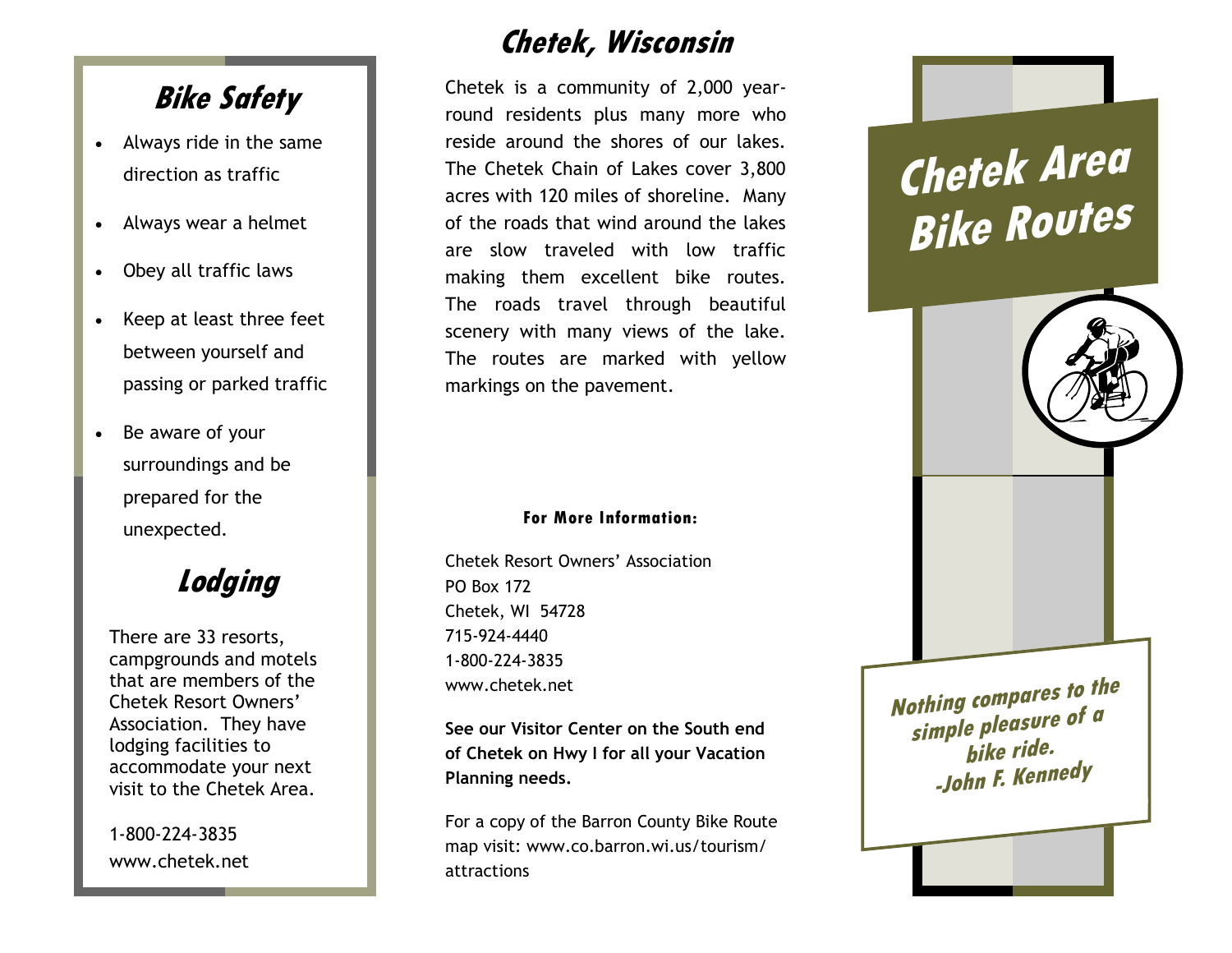## **Bike Safety**

- Always ride in the same direction as traffic
- Always wear a helmet
- Obey all traffic laws
- Keep at least three feet between yourself and passing or parked traffic
- Be aware of your surroundings and be prepared for the unexpected.

**Lodging**

There are 33 resorts, campgrounds and motels that are members of the Chetek Resort Owners' Association. They have lodging facilities to accommodate your next visit to the Chetek Area.

1-800-224-3835 www.chetek.net

## **Chetek, Wisconsin**

Chetek is a community of 2,000 yearround residents plus many more who reside around the shores of our lakes. The Chetek Chain of Lakes cover 3,800 acres with 120 miles of shoreline. Many of the roads that wind around the lakes are slow traveled with low traffic making them excellent bike routes. The roads travel through beautiful scenery with many views of the lake. The routes are marked with yellow markings on the pavement.

## **For More Information:**

Chetek Resort Owners' Association PO Box 172 Chetek, WI 54728 715-924-4440 1-800-224-3835 www.chetek.net

**See our Visitor Center on the South end of Chetek on Hwy I for all your Vacation Planning needs.**

For a copy of the Barron County Bike Route map visit: www.co.barron.wi.us/tourism/ attractions

## **Chetek Area Bike Routes**